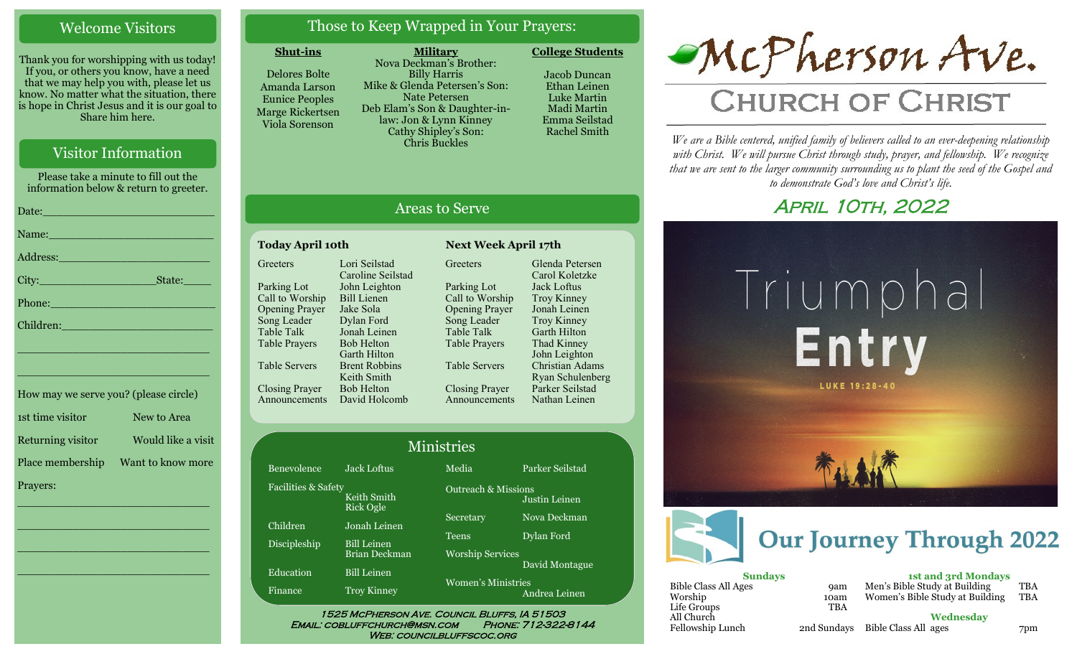## Welcome Visitors

Thank you for worshipping with us today! If you, or others you know, have a need that we may help you with, please let us know. No matter what the situation, there is hope in Christ Jesus and it is our goal to Share him here.

## Visitor Information

Please take a minute to fill out the information below & return to greeter.

|                                                                                                                                                                                                                               | Date: 2008 - 2008 - 2010 - 2010 - 2010 - 2011 - 2012 - 2012 - 2012 - 2014 - 2012 - 2014 - 2014 - 2014 - 2014 - |
|-------------------------------------------------------------------------------------------------------------------------------------------------------------------------------------------------------------------------------|----------------------------------------------------------------------------------------------------------------|
|                                                                                                                                                                                                                               | Name: Name and the second contract of the second contract of the second contract of the second contract of the |
| Address: 2008 and 2008 and 2008 and 2008 and 2008 and 2008 and 2008 and 2008 and 2008 and 2008 and 2008 and 20                                                                                                                |                                                                                                                |
|                                                                                                                                                                                                                               |                                                                                                                |
|                                                                                                                                                                                                                               |                                                                                                                |
|                                                                                                                                                                                                                               |                                                                                                                |
| the control of the control of the control of the control of the control of the control of the control of the control of the control of the control of the control of the control of the control of the control of the control |                                                                                                                |

| How may we serve you? (please circle) |                    |
|---------------------------------------|--------------------|
| 1st time visitor                      | New to Area        |
| Returning visitor                     | Would like a visit |
| Place membership                      | Want to know more  |
| Prayers:                              |                    |

\_\_\_\_\_\_\_\_\_\_\_\_\_\_\_\_\_\_\_\_\_\_\_\_\_\_\_\_

 $\overline{\phantom{a}}$  , and the set of the set of the set of the set of the set of the set of the set of the set of the set of the set of the set of the set of the set of the set of the set of the set of the set of the set of the s

 $\overline{\phantom{a}}$  , and the set of the set of the set of the set of the set of the set of the set of the set of the set of the set of the set of the set of the set of the set of the set of the set of the set of the set of the s

\_\_\_\_\_\_\_\_\_\_\_\_\_\_\_\_\_\_\_\_\_\_\_\_\_\_\_\_

\_\_\_\_\_\_\_\_\_\_\_\_\_\_\_\_\_\_\_\_\_\_\_\_\_\_\_\_

## Those to Keep Wrapped in Your Prayers:

### **Shut-ins**

Delores Bolte Amanda Larson Eunice Peoples Marge Rickertsen Viola Sorenson

**Military** Nova Deckman's Brother: Billy Harris Mike & Glenda Petersen's Son: Nate Petersen Deb Elam's Son & Daughter-inlaw: Jon & Lynn Kinney Cathy Shipley's Son: Chris Buckles

**College Students**  Jacob Duncan Ethan Leinen



## Areas to Serve

Greeters

Parking Lot

Table Talk

#### **Today April 10th Next Week April 17th Greeters** Lori Seilstad Caroline Seilstad

Fa

Parking Lot Call to Worship Opening Prayer Song Leader Table Talk Table Prayers Table Servers Closing Prayer Announcements John Leighton Bill Lienen Jake Sola Dylan Ford Jonah Leinen Bob Helton Garth Hilton Brent Robbins Keith Smith Bob Helton David Holcomb Call to Worship Opening Prayer Song Leader Table Prayers Table Servers Closing Prayer Announcements Glenda Petersen Carol Koletzke Jack Loftus Troy Kinney Jonah Leinen Troy Kinney Garth Hilton Thad Kinney John Leighton Christian Adams Ryan Schulenberg Parker Seilstad Nathan Leinen

|                     |                                            | Ministries                              |                                                 |  |
|---------------------|--------------------------------------------|-----------------------------------------|-------------------------------------------------|--|
| Benevolence         | <b>Jack Loftus</b>                         | Media                                   | Parker Seilstad                                 |  |
| Facilities & Safety | Keith Smith<br><b>Rick Ogle</b>            |                                         | <b>Outreach &amp; Missions</b><br>Justin Leinen |  |
| Children            | Jonah Leinen                               | Secretary                               | Nova Deckman                                    |  |
| Discipleship        | <b>Bill Leinen</b><br><b>Brian Deckman</b> | <b>Teens</b><br><b>Worship Services</b> | Dylan Ford                                      |  |
| Education           | <b>Bill Leinen</b>                         | David Montague<br>Women's Ministries    |                                                 |  |
| Finance             | <b>Troy Kinney</b>                         |                                         | Andrea Leinen                                   |  |

Email: cobluffchurch@msn.com Phone: 712-322-8144 WEB: COUNCILBLUFFSCOC.ORG



# **CHURCH OF CHRIST**

*We are a Bible centered, unified family of believers called to an ever-deepening relationship*  with Christ. We will pursue Christ through study, prayer, and fellowship. We recognize *that we are sent to the larger community surrounding us to plant the seed of the Gospel and to demonstrate God's love and Christ's life.*

## **APRIL 10TH, 2022**



Women's Bible Study at Building TBA

Fellowship Lunch 2nd Sundays **Wednesday** Bible Class All ages 7pm

Worship 10am<br>Life Groups TBA

Life Groups All Church